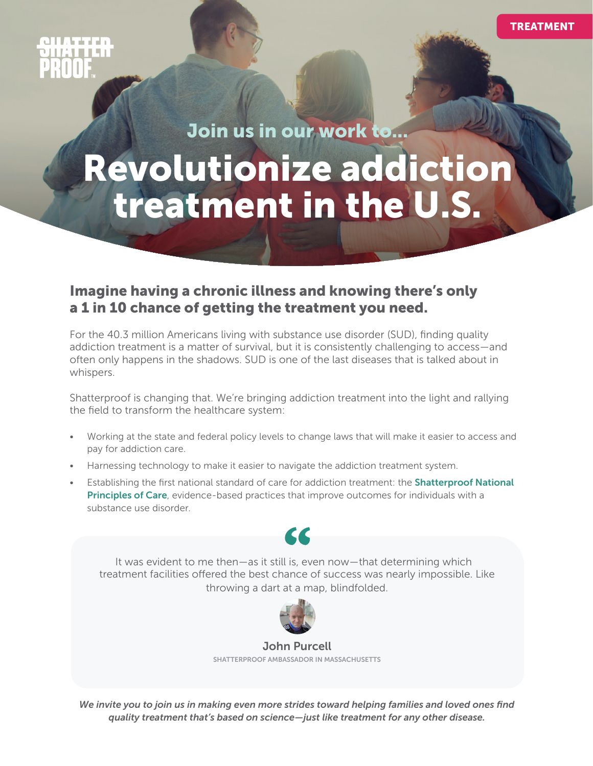TREATMENT

Join us in our work to...

# treatment in the U.S. Revolutionize addiction

#### Imagine having a chronic illness and knowing there's only a 1 in 10 chance of getting the treatment you need.

For the 40.3 million Americans living with substance use disorder (SUD), finding quality addiction treatment is a matter of survival, but it is consistently challenging to access—and often only happens in the shadows. SUD is one of the last diseases that is talked about in whispers.

Shatterproof is changing that. We're bringing addiction treatment into the light and rallying the field to transform the healthcare system:

- Working at the state and federal policy levels to change laws that will make it easier to access and pay for addiction care.
- Harnessing technology to make it easier to navigate the addiction treatment system.
- Establishing the first national standard of care for addiction treatment: the **Shatterproof National** [Principles of Care](https://www.shatterproof.org/shatterproof-national-principles-care), evidence-based practices that improve outcomes for individuals with a substance use disorder.



It was evident to me then—as it still is, even now—that determining which treatment facilities offered the best chance of success was nearly impossible. Like throwing a dart at a map, blindfolded.



John Purcell SHATTERPROOF AMBASSADOR IN MASSACHUSETTS

*We invite you to join us in making even more strides toward helping families and loved ones find quality treatment that's based on science—just like treatment for any other disease.*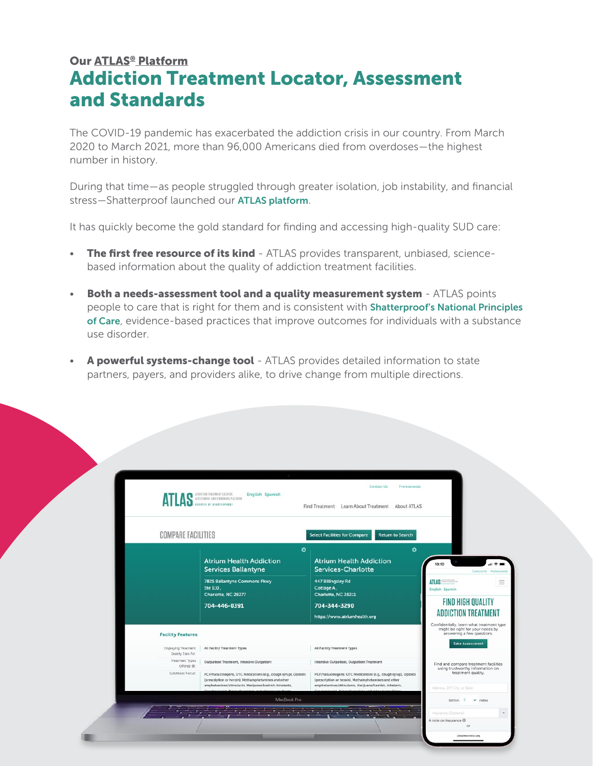### Addiction Treatment Locator, Assessment and Standards Our [ATLAS® Platform](https://www.treatmentatlas.org)

The COVID-19 pandemic has exacerbated the addiction crisis in our country. From March 2020 to March 2021, more than 96,000 Americans died from overdoses—the highest number in history.

During that time—as people struggled through greater isolation, job instability, and financial stress—Shatterproof launched our [ATLAS platform](https://www.treatmentatlas.org).

It has quickly become the gold standard for finding and accessing high-quality SUD care:

- **The first free resource of its kind** ATLAS provides transparent, unbiased, sciencebased information about the quality of addiction treatment facilities.
- **Both a needs-assessment tool and a quality measurement system ATLAS points** people to care that is right for them and is consistent with Shatterproof's National Principles [of Care](https://www.shatterproof.org/shatterproof-national-principles-care), evidence-based practices that improve outcomes for individuals with a substance use disorder.
- A powerful systems-change tool ATLAS provides detailed information to state partners, payers, and providers alike, to drive change from multiple directions.

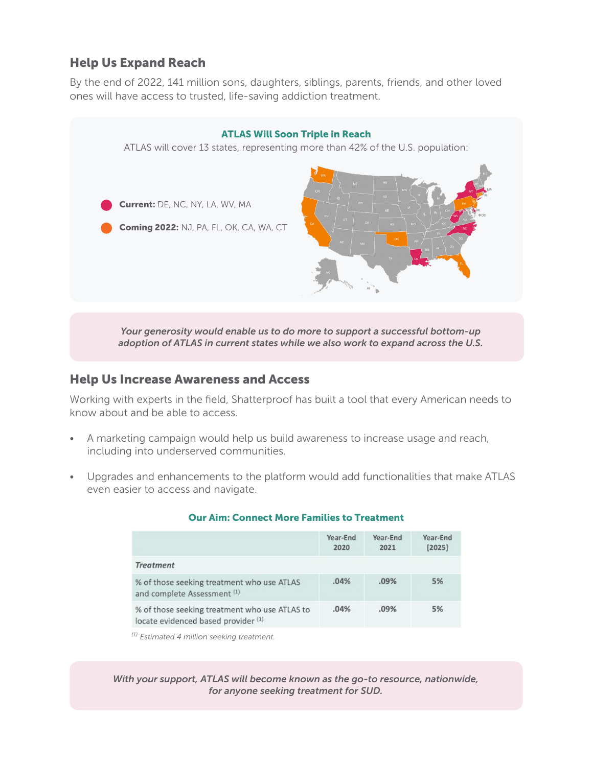#### Help Us Expand Reach

By the end of 2022, 141 million sons, daughters, siblings, parents, friends, and other loved ones will have access to trusted, life-saving addiction treatment.



#### Help Us Increase Awareness and Access

Working with experts in the field, Shatterproof has built a tool that every American needs to know about and be able to access.

- A marketing campaign would help us build awareness to increase usage and reach, including into underserved communities.
- Upgrades and enhancements to the platform would add functionalities that make ATLAS even easier to access and navigate.

|                                                                                      | Year-End<br>2020 | Year-End<br>2021 | Year-End<br>[2025] |
|--------------------------------------------------------------------------------------|------------------|------------------|--------------------|
| <b>Treatment</b>                                                                     |                  |                  |                    |
| % of those seeking treatment who use ATLAS<br>and complete Assessment (1)            | .04%             | .09%             | 5%                 |
| % of those seeking treatment who use ATLAS to<br>locate evidenced based provider (1) | .04%             | .09%             | 5%                 |

#### Our Aim: Connect More Families to Treatment

*(1) Estimated 4 million seeking treatment.*

*With your support, ATLAS will become known as the go-to resource, nationwide, for anyone seeking treatment for SUD.*